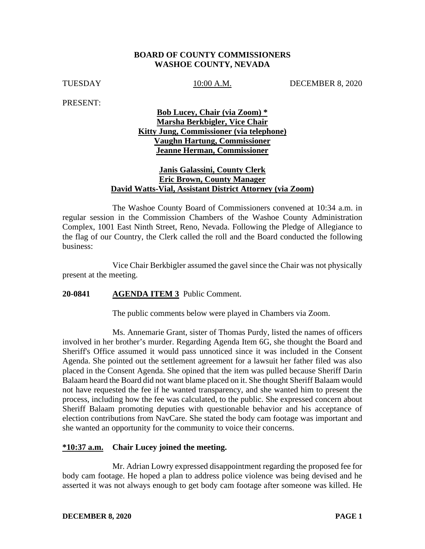#### **BOARD OF COUNTY COMMISSIONERS WASHOE COUNTY, NEVADA**

TUESDAY 10:00 A.M. DECEMBER 8, 2020

PRESENT:

## **Bob Lucey, Chair (via Zoom) \* Marsha Berkbigler, Vice Chair Kitty Jung, Commissioner (via telephone) Vaughn Hartung, Commissioner Jeanne Herman, Commissioner**

## **Janis Galassini, County Clerk Eric Brown, County Manager David Watts-Vial, Assistant District Attorney (via Zoom)**

The Washoe County Board of Commissioners convened at 10:34 a.m. in regular session in the Commission Chambers of the Washoe County Administration Complex, 1001 East Ninth Street, Reno, Nevada. Following the Pledge of Allegiance to the flag of our Country, the Clerk called the roll and the Board conducted the following business:

Vice Chair Berkbigler assumed the gavel since the Chair was not physically present at the meeting.

### **20-0841 AGENDA ITEM 3** Public Comment.

The public comments below were played in Chambers via Zoom.

Ms. Annemarie Grant, sister of Thomas Purdy, listed the names of officers involved in her brother's murder. Regarding Agenda Item 6G, she thought the Board and Sheriff's Office assumed it would pass unnoticed since it was included in the Consent Agenda. She pointed out the settlement agreement for a lawsuit her father filed was also placed in the Consent Agenda. She opined that the item was pulled because Sheriff Darin Balaam heard the Board did not want blame placed on it. She thought Sheriff Balaam would not have requested the fee if he wanted transparency, and she wanted him to present the process, including how the fee was calculated, to the public. She expressed concern about Sheriff Balaam promoting deputies with questionable behavior and his acceptance of election contributions from NavCare. She stated the body cam footage was important and she wanted an opportunity for the community to voice their concerns.

### **\*10:37 a.m. Chair Lucey joined the meeting.**

Mr. Adrian Lowry expressed disappointment regarding the proposed fee for body cam footage. He hoped a plan to address police violence was being devised and he asserted it was not always enough to get body cam footage after someone was killed. He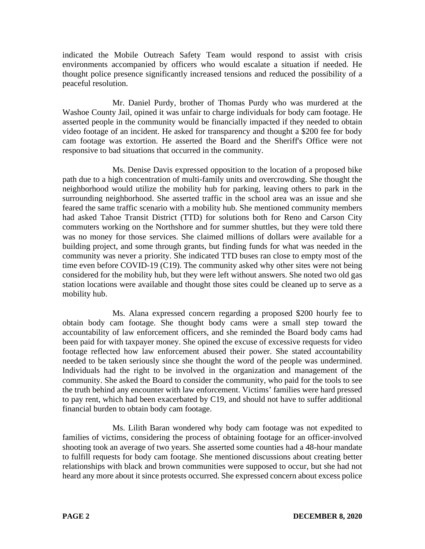indicated the Mobile Outreach Safety Team would respond to assist with crisis environments accompanied by officers who would escalate a situation if needed. He thought police presence significantly increased tensions and reduced the possibility of a peaceful resolution.

Mr. Daniel Purdy, brother of Thomas Purdy who was murdered at the Washoe County Jail, opined it was unfair to charge individuals for body cam footage. He asserted people in the community would be financially impacted if they needed to obtain video footage of an incident. He asked for transparency and thought a \$200 fee for body cam footage was extortion. He asserted the Board and the Sheriff's Office were not responsive to bad situations that occurred in the community.

Ms. Denise Davis expressed opposition to the location of a proposed bike path due to a high concentration of multi-family units and overcrowding. She thought the neighborhood would utilize the mobility hub for parking, leaving others to park in the surrounding neighborhood. She asserted traffic in the school area was an issue and she feared the same traffic scenario with a mobility hub. She mentioned community members had asked Tahoe Transit District (TTD) for solutions both for Reno and Carson City commuters working on the Northshore and for summer shuttles, but they were told there was no money for those services. She claimed millions of dollars were available for a building project, and some through grants, but finding funds for what was needed in the community was never a priority. She indicated TTD buses ran close to empty most of the time even before COVID-19 (C19). The community asked why other sites were not being considered for the mobility hub, but they were left without answers. She noted two old gas station locations were available and thought those sites could be cleaned up to serve as a mobility hub.

Ms. Alana expressed concern regarding a proposed \$200 hourly fee to obtain body cam footage. She thought body cams were a small step toward the accountability of law enforcement officers, and she reminded the Board body cams had been paid for with taxpayer money. She opined the excuse of excessive requests for video footage reflected how law enforcement abused their power. She stated accountability needed to be taken seriously since she thought the word of the people was undermined. Individuals had the right to be involved in the organization and management of the community. She asked the Board to consider the community, who paid for the tools to see the truth behind any encounter with law enforcement. Victims' families were hard pressed to pay rent, which had been exacerbated by C19, and should not have to suffer additional financial burden to obtain body cam footage.

Ms. Lilith Baran wondered why body cam footage was not expedited to families of victims, considering the process of obtaining footage for an officer-involved shooting took an average of two years. She asserted some counties had a 48-hour mandate to fulfill requests for body cam footage. She mentioned discussions about creating better relationships with black and brown communities were supposed to occur, but she had not heard any more about it since protests occurred. She expressed concern about excess police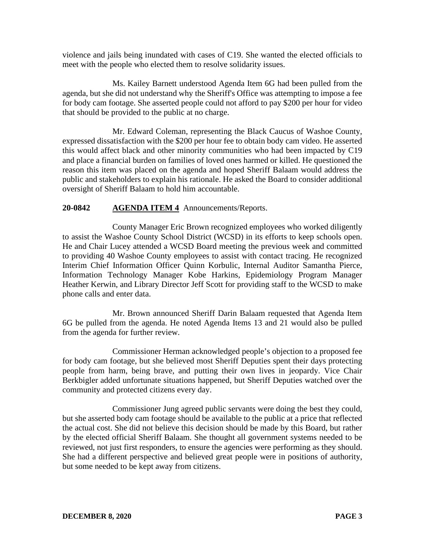violence and jails being inundated with cases of C19. She wanted the elected officials to meet with the people who elected them to resolve solidarity issues.

Ms. Kailey Barnett understood Agenda Item 6G had been pulled from the agenda, but she did not understand why the Sheriff's Office was attempting to impose a fee for body cam footage. She asserted people could not afford to pay \$200 per hour for video that should be provided to the public at no charge.

Mr. Edward Coleman, representing the Black Caucus of Washoe County, expressed dissatisfaction with the \$200 per hour fee to obtain body cam video. He asserted this would affect black and other minority communities who had been impacted by C19 and place a financial burden on families of loved ones harmed or killed. He questioned the reason this item was placed on the agenda and hoped Sheriff Balaam would address the public and stakeholders to explain his rationale. He asked the Board to consider additional oversight of Sheriff Balaam to hold him accountable.

## **20-0842 AGENDA ITEM 4** Announcements/Reports.

County Manager Eric Brown recognized employees who worked diligently to assist the Washoe County School District (WCSD) in its efforts to keep schools open. He and Chair Lucey attended a WCSD Board meeting the previous week and committed to providing 40 Washoe County employees to assist with contact tracing. He recognized Interim Chief Information Officer Quinn Korbulic, Internal Auditor Samantha Pierce, Information Technology Manager Kobe Harkins, Epidemiology Program Manager Heather Kerwin, and Library Director Jeff Scott for providing staff to the WCSD to make phone calls and enter data.

Mr. Brown announced Sheriff Darin Balaam requested that Agenda Item 6G be pulled from the agenda. He noted Agenda Items 13 and 21 would also be pulled from the agenda for further review.

Commissioner Herman acknowledged people's objection to a proposed fee for body cam footage, but she believed most Sheriff Deputies spent their days protecting people from harm, being brave, and putting their own lives in jeopardy. Vice Chair Berkbigler added unfortunate situations happened, but Sheriff Deputies watched over the community and protected citizens every day.

Commissioner Jung agreed public servants were doing the best they could, but she asserted body cam footage should be available to the public at a price that reflected the actual cost. She did not believe this decision should be made by this Board, but rather by the elected official Sheriff Balaam. She thought all government systems needed to be reviewed, not just first responders, to ensure the agencies were performing as they should. She had a different perspective and believed great people were in positions of authority, but some needed to be kept away from citizens.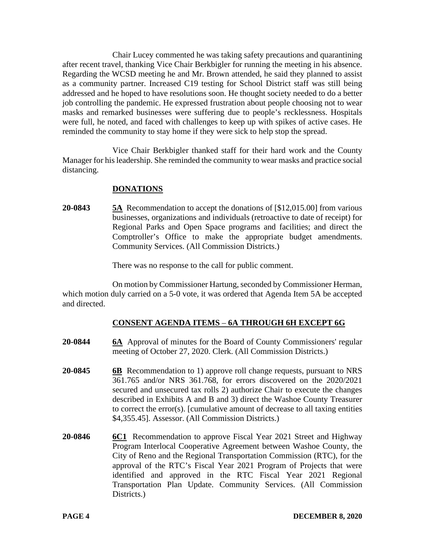Chair Lucey commented he was taking safety precautions and quarantining after recent travel, thanking Vice Chair Berkbigler for running the meeting in his absence. Regarding the WCSD meeting he and Mr. Brown attended, he said they planned to assist as a community partner. Increased C19 testing for School District staff was still being addressed and he hoped to have resolutions soon. He thought society needed to do a better job controlling the pandemic. He expressed frustration about people choosing not to wear masks and remarked businesses were suffering due to people's recklessness. Hospitals were full, he noted, and faced with challenges to keep up with spikes of active cases. He reminded the community to stay home if they were sick to help stop the spread.

Vice Chair Berkbigler thanked staff for their hard work and the County Manager for his leadership. She reminded the community to wear masks and practice social distancing.

## **DONATIONS**

**20-0843 5A** Recommendation to accept the donations of [\$12,015.00] from various businesses, organizations and individuals (retroactive to date of receipt) for Regional Parks and Open Space programs and facilities; and direct the Comptroller's Office to make the appropriate budget amendments. Community Services. (All Commission Districts.)

There was no response to the call for public comment.

On motion by Commissioner Hartung, seconded by Commissioner Herman, which motion duly carried on a 5-0 vote, it was ordered that Agenda Item 5A be accepted and directed.

## **CONSENT AGENDA ITEMS** – **6A THROUGH 6H EXCEPT 6G**

- **20-0844 6A** Approval of minutes for the Board of County Commissioners' regular meeting of October 27, 2020. Clerk. (All Commission Districts.)
- **20-0845 6B** Recommendation to 1) approve roll change requests, pursuant to NRS 361.765 and/or NRS 361.768, for errors discovered on the 2020/2021 secured and unsecured tax rolls 2) authorize Chair to execute the changes described in Exhibits A and B and 3) direct the Washoe County Treasurer to correct the error(s). [cumulative amount of decrease to all taxing entities \$4,355.45]. Assessor. (All Commission Districts.)
- **20-0846 6C1** Recommendation to approve Fiscal Year 2021 Street and Highway Program Interlocal Cooperative Agreement between Washoe County, the City of Reno and the Regional Transportation Commission (RTC), for the approval of the RTC's Fiscal Year 2021 Program of Projects that were identified and approved in the RTC Fiscal Year 2021 Regional Transportation Plan Update. Community Services. (All Commission Districts.)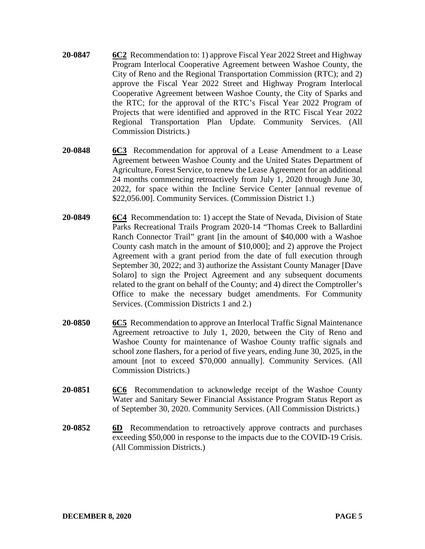- **20-0847 6C2** Recommendation to: 1) approve Fiscal Year 2022 Street and Highway Program Interlocal Cooperative Agreement between Washoe County, the City of Reno and the Regional Transportation Commission (RTC); and 2) approve the Fiscal Year 2022 Street and Highway Program Interlocal Cooperative Agreement between Washoe County, the City of Sparks and the RTC; for the approval of the RTC's Fiscal Year 2022 Program of Projects that were identified and approved in the RTC Fiscal Year 2022 Regional Transportation Plan Update. Community Services. (All Commission Districts.)
- **20-0848 6C3** Recommendation for approval of a Lease Amendment to a Lease Agreement between Washoe County and the United States Department of Agriculture, Forest Service, to renew the Lease Agreement for an additional 24 months commencing retroactively from July 1, 2020 through June 30, 2022, for space within the Incline Service Center [annual revenue of \$22,056.00]. Community Services. (Commission District 1.)
- **20-0849 6C4** Recommendation to: 1) accept the State of Nevada, Division of State Parks Recreational Trails Program 2020-14 "Thomas Creek to Ballardini Ranch Connector Trail" grant [in the amount of \$40,000 with a Washoe County cash match in the amount of \$10,000]; and 2) approve the Project Agreement with a grant period from the date of full execution through September 30, 2022; and 3) authorize the Assistant County Manager [Dave Solaro] to sign the Project Agreement and any subsequent documents related to the grant on behalf of the County; and 4) direct the Comptroller's Office to make the necessary budget amendments. For Community Services. (Commission Districts 1 and 2.)
- **20-0850 6C5** Recommendation to approve an Interlocal Traffic Signal Maintenance Agreement retroactive to July 1, 2020, between the City of Reno and Washoe County for maintenance of Washoe County traffic signals and school zone flashers, for a period of five years, ending June 30, 2025, in the amount [not to exceed \$70,000 annually]. Community Services. (All Commission Districts.)
- **20-0851 6C6** Recommendation to acknowledge receipt of the Washoe County Water and Sanitary Sewer Financial Assistance Program Status Report as of September 30, 2020. Community Services. (All Commission Districts.)
- **20-0852 6D** Recommendation to retroactively approve contracts and purchases exceeding \$50,000 in response to the impacts due to the COVID-19 Crisis. (All Commission Districts.)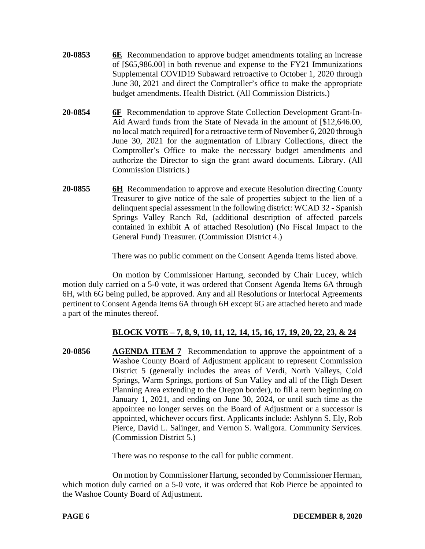- **20-0853 6E** Recommendation to approve budget amendments totaling an increase of [\$65,986.00] in both revenue and expense to the FY21 Immunizations Supplemental COVID19 Subaward retroactive to October 1, 2020 through June 30, 2021 and direct the Comptroller's office to make the appropriate budget amendments. Health District. (All Commission Districts.)
- **20-0854 6F** Recommendation to approve State Collection Development Grant-In-Aid Award funds from the State of Nevada in the amount of [\$12,646.00, no local match required] for a retroactive term of November 6, 2020 through June 30, 2021 for the augmentation of Library Collections, direct the Comptroller's Office to make the necessary budget amendments and authorize the Director to sign the grant award documents. Library. (All Commission Districts.)
- **20-0855 6H** Recommendation to approve and execute Resolution directing County Treasurer to give notice of the sale of properties subject to the lien of a delinquent special assessment in the following district: WCAD 32 - Spanish Springs Valley Ranch Rd, (additional description of affected parcels contained in exhibit A of attached Resolution) (No Fiscal Impact to the General Fund) Treasurer. (Commission District 4.)

There was no public comment on the Consent Agenda Items listed above.

On motion by Commissioner Hartung, seconded by Chair Lucey, which motion duly carried on a 5-0 vote, it was ordered that Consent Agenda Items 6A through 6H, with 6G being pulled, be approved. Any and all Resolutions or Interlocal Agreements pertinent to Consent Agenda Items 6A through 6H except 6G are attached hereto and made a part of the minutes thereof.

# **BLOCK VOTE – 7, 8, 9, 10, 11, 12, 14, 15, 16, 17, 19, 20, 22, 23, & 24**

**20-0856 AGENDA ITEM 7** Recommendation to approve the appointment of a Washoe County Board of Adjustment applicant to represent Commission District 5 (generally includes the areas of Verdi, North Valleys, Cold Springs, Warm Springs, portions of Sun Valley and all of the High Desert Planning Area extending to the Oregon border), to fill a term beginning on January 1, 2021, and ending on June 30, 2024, or until such time as the appointee no longer serves on the Board of Adjustment or a successor is appointed, whichever occurs first. Applicants include: Ashlynn S. Ely, Rob Pierce, David L. Salinger, and Vernon S. Waligora. Community Services. (Commission District 5.)

There was no response to the call for public comment.

On motion by Commissioner Hartung, seconded by Commissioner Herman, which motion duly carried on a 5-0 vote, it was ordered that Rob Pierce be appointed to the Washoe County Board of Adjustment.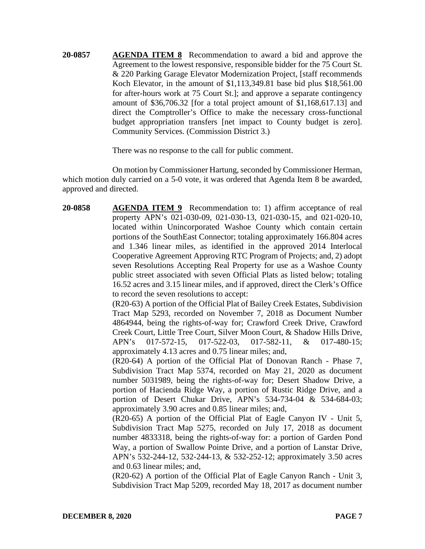**20-0857 AGENDA ITEM 8** Recommendation to award a bid and approve the Agreement to the lowest responsive, responsible bidder for the 75 Court St. & 220 Parking Garage Elevator Modernization Project, [staff recommends Koch Elevator, in the amount of \$1,113,349.81 base bid plus \$18,561.00 for after-hours work at 75 Court St.]; and approve a separate contingency amount of \$36,706.32 [for a total project amount of \$1,168,617.13] and direct the Comptroller's Office to make the necessary cross-functional budget appropriation transfers [net impact to County budget is zero]. Community Services. (Commission District 3.)

There was no response to the call for public comment.

On motion by Commissioner Hartung, seconded by Commissioner Herman, which motion duly carried on a 5-0 vote, it was ordered that Agenda Item 8 be awarded, approved and directed.

**20-0858 AGENDA ITEM 9** Recommendation to: 1) affirm acceptance of real property APN's 021-030-09, 021-030-13, 021-030-15, and 021-020-10, located within Unincorporated Washoe County which contain certain portions of the SouthEast Connector; totaling approximately 166.804 acres and 1.346 linear miles, as identified in the approved 2014 Interlocal Cooperative Agreement Approving RTC Program of Projects; and, 2) adopt seven Resolutions Accepting Real Property for use as a Washoe County public street associated with seven Official Plats as listed below; totaling 16.52 acres and 3.15 linear miles, and if approved, direct the Clerk's Office to record the seven resolutions to accept:

(R20-63) A portion of the Official Plat of Bailey Creek Estates, Subdivision Tract Map 5293, recorded on November 7, 2018 as Document Number 4864944, being the rights-of-way for; Crawford Creek Drive, Crawford Creek Court, Little Tree Court, Silver Moon Court, & Shadow Hills Drive, APN's 017-572-15, 017-522-03, 017-582-11, & 017-480-15; approximately 4.13 acres and 0.75 linear miles; and,

(R20-64) A portion of the Official Plat of Donovan Ranch - Phase 7, Subdivision Tract Map 5374, recorded on May 21, 2020 as document number 5031989, being the rights-of-way for; Desert Shadow Drive, a portion of Hacienda Ridge Way, a portion of Rustic Ridge Drive, and a portion of Desert Chukar Drive, APN's 534-734-04 & 534-684-03; approximately 3.90 acres and 0.85 linear miles; and,

(R20-65) A portion of the Official Plat of Eagle Canyon IV - Unit 5, Subdivision Tract Map 5275, recorded on July 17, 2018 as document number 4833318, being the rights-of-way for: a portion of Garden Pond Way, a portion of Swallow Pointe Drive, and a portion of Lanstar Drive, APN's 532-244-12, 532-244-13, & 532-252-12; approximately 3.50 acres and 0.63 linear miles; and,

(R20-62) A portion of the Official Plat of Eagle Canyon Ranch - Unit 3, Subdivision Tract Map 5209, recorded May 18, 2017 as document number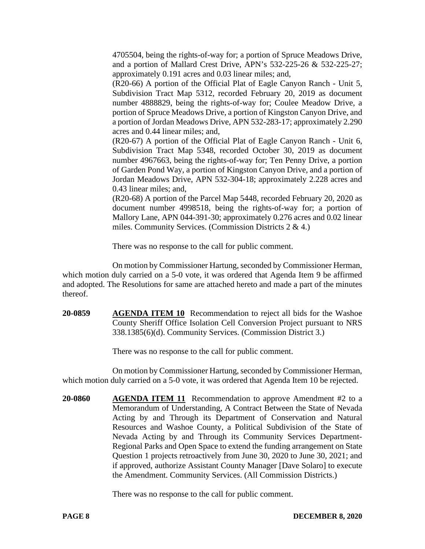4705504, being the rights-of-way for; a portion of Spruce Meadows Drive, and a portion of Mallard Crest Drive, APN's 532-225-26 & 532-225-27; approximately 0.191 acres and 0.03 linear miles; and,

(R20-66) A portion of the Official Plat of Eagle Canyon Ranch - Unit 5, Subdivision Tract Map 5312, recorded February 20, 2019 as document number 4888829, being the rights-of-way for; Coulee Meadow Drive, a portion of Spruce Meadows Drive, a portion of Kingston Canyon Drive, and a portion of Jordan Meadows Drive, APN 532-283-17; approximately 2.290 acres and 0.44 linear miles; and,

(R20-67) A portion of the Official Plat of Eagle Canyon Ranch - Unit 6, Subdivision Tract Map 5348, recorded October 30, 2019 as document number 4967663, being the rights-of-way for; Ten Penny Drive, a portion of Garden Pond Way, a portion of Kingston Canyon Drive, and a portion of Jordan Meadows Drive, APN 532-304-18; approximately 2.228 acres and 0.43 linear miles; and,

(R20-68) A portion of the Parcel Map 5448, recorded February 20, 2020 as document number 4998518, being the rights-of-way for; a portion of Mallory Lane, APN 044-391-30; approximately 0.276 acres and 0.02 linear miles. Community Services. (Commission Districts 2 & 4.)

There was no response to the call for public comment.

On motion by Commissioner Hartung, seconded by Commissioner Herman, which motion duly carried on a 5-0 vote, it was ordered that Agenda Item 9 be affirmed and adopted. The Resolutions for same are attached hereto and made a part of the minutes thereof.

**20-0859 AGENDA ITEM 10** Recommendation to reject all bids for the Washoe County Sheriff Office Isolation Cell Conversion Project pursuant to NRS 338.1385(6)(d). Community Services. (Commission District 3.)

There was no response to the call for public comment.

On motion by Commissioner Hartung, seconded by Commissioner Herman, which motion duly carried on a 5-0 vote, it was ordered that Agenda Item 10 be rejected.

**20-0860 AGENDA ITEM 11** Recommendation to approve Amendment #2 to a Memorandum of Understanding, A Contract Between the State of Nevada Acting by and Through its Department of Conservation and Natural Resources and Washoe County, a Political Subdivision of the State of Nevada Acting by and Through its Community Services Department-Regional Parks and Open Space to extend the funding arrangement on State Question 1 projects retroactively from June 30, 2020 to June 30, 2021; and if approved, authorize Assistant County Manager [Dave Solaro] to execute the Amendment. Community Services. (All Commission Districts.)

There was no response to the call for public comment.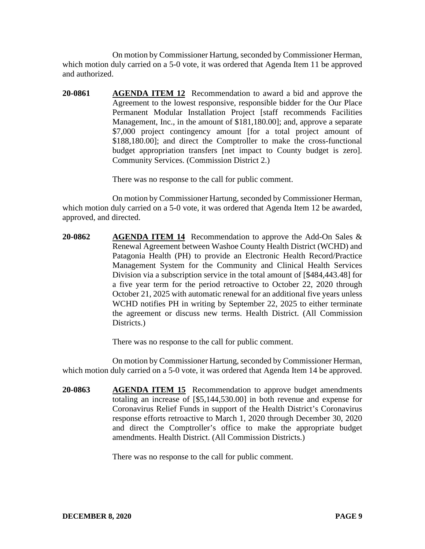On motion by Commissioner Hartung, seconded by Commissioner Herman, which motion duly carried on a 5-0 vote, it was ordered that Agenda Item 11 be approved and authorized.

**20-0861 AGENDA ITEM 12** Recommendation to award a bid and approve the Agreement to the lowest responsive, responsible bidder for the Our Place Permanent Modular Installation Project [staff recommends Facilities Management, Inc., in the amount of \$181,180.00]; and, approve a separate \$7,000 project contingency amount [for a total project amount of \$188,180.00]; and direct the Comptroller to make the cross-functional budget appropriation transfers [net impact to County budget is zero]. Community Services. (Commission District 2.)

There was no response to the call for public comment.

On motion by Commissioner Hartung, seconded by Commissioner Herman, which motion duly carried on a 5-0 vote, it was ordered that Agenda Item 12 be awarded, approved, and directed.

**20-0862 AGENDA ITEM 14** Recommendation to approve the Add-On Sales & Renewal Agreement between Washoe County Health District (WCHD) and Patagonia Health (PH) to provide an Electronic Health Record/Practice Management System for the Community and Clinical Health Services Division via a subscription service in the total amount of [\$484,443.48] for a five year term for the period retroactive to October 22, 2020 through October 21, 2025 with automatic renewal for an additional five years unless WCHD notifies PH in writing by September 22, 2025 to either terminate the agreement or discuss new terms. Health District. (All Commission Districts.

There was no response to the call for public comment.

On motion by Commissioner Hartung, seconded by Commissioner Herman, which motion duly carried on a 5-0 vote, it was ordered that Agenda Item 14 be approved.

**20-0863 AGENDA ITEM 15** Recommendation to approve budget amendments totaling an increase of [\$5,144,530.00] in both revenue and expense for Coronavirus Relief Funds in support of the Health District's Coronavirus response efforts retroactive to March 1, 2020 through December 30, 2020 and direct the Comptroller's office to make the appropriate budget amendments. Health District. (All Commission Districts.)

There was no response to the call for public comment.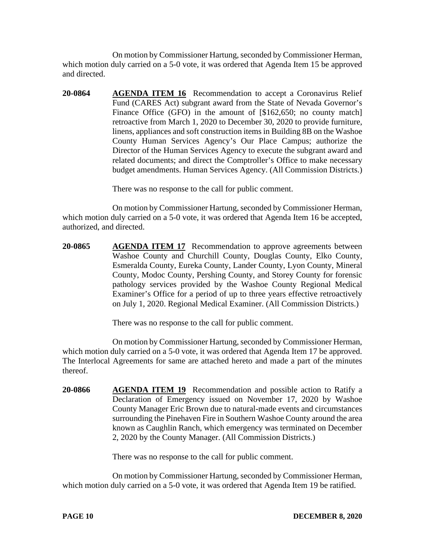On motion by Commissioner Hartung, seconded by Commissioner Herman, which motion duly carried on a 5-0 vote, it was ordered that Agenda Item 15 be approved and directed.

**20-0864 AGENDA ITEM 16** Recommendation to accept a Coronavirus Relief Fund (CARES Act) subgrant award from the State of Nevada Governor's Finance Office (GFO) in the amount of [\$162,650; no county match] retroactive from March 1, 2020 to December 30, 2020 to provide furniture, linens, appliances and soft construction items in Building 8B on the Washoe County Human Services Agency's Our Place Campus; authorize the Director of the Human Services Agency to execute the subgrant award and related documents; and direct the Comptroller's Office to make necessary budget amendments. Human Services Agency. (All Commission Districts.)

There was no response to the call for public comment.

On motion by Commissioner Hartung, seconded by Commissioner Herman, which motion duly carried on a 5-0 vote, it was ordered that Agenda Item 16 be accepted, authorized, and directed.

**20-0865 AGENDA ITEM 17** Recommendation to approve agreements between Washoe County and Churchill County, Douglas County, Elko County, Esmeralda County, Eureka County, Lander County, Lyon County, Mineral County, Modoc County, Pershing County, and Storey County for forensic pathology services provided by the Washoe County Regional Medical Examiner's Office for a period of up to three years effective retroactively on July 1, 2020. Regional Medical Examiner. (All Commission Districts.)

There was no response to the call for public comment.

On motion by Commissioner Hartung, seconded by Commissioner Herman, which motion duly carried on a 5-0 vote, it was ordered that Agenda Item 17 be approved. The Interlocal Agreements for same are attached hereto and made a part of the minutes thereof.

**20-0866 AGENDA ITEM 19** Recommendation and possible action to Ratify a Declaration of Emergency issued on November 17, 2020 by Washoe County Manager Eric Brown due to natural-made events and circumstances surrounding the Pinehaven Fire in Southern Washoe County around the area known as Caughlin Ranch, which emergency was terminated on December 2, 2020 by the County Manager. (All Commission Districts.)

There was no response to the call for public comment.

On motion by Commissioner Hartung, seconded by Commissioner Herman, which motion duly carried on a 5-0 vote, it was ordered that Agenda Item 19 be ratified.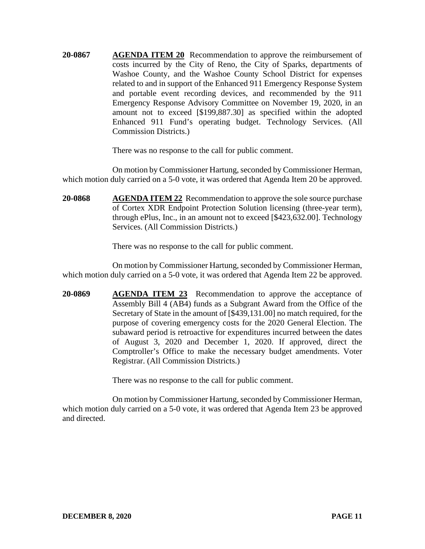**20-0867 AGENDA ITEM 20** Recommendation to approve the reimbursement of costs incurred by the City of Reno, the City of Sparks, departments of Washoe County, and the Washoe County School District for expenses related to and in support of the Enhanced 911 Emergency Response System and portable event recording devices, and recommended by the 911 Emergency Response Advisory Committee on November 19, 2020, in an amount not to exceed [\$199,887.30] as specified within the adopted Enhanced 911 Fund's operating budget. Technology Services. (All Commission Districts.)

There was no response to the call for public comment.

On motion by Commissioner Hartung, seconded by Commissioner Herman, which motion duly carried on a 5-0 vote, it was ordered that Agenda Item 20 be approved.

**20-0868 AGENDA ITEM 22** Recommendation to approve the sole source purchase of Cortex XDR Endpoint Protection Solution licensing (three-year term), through ePlus, Inc., in an amount not to exceed [\$423,632.00]. Technology Services. (All Commission Districts.)

There was no response to the call for public comment.

On motion by Commissioner Hartung, seconded by Commissioner Herman, which motion duly carried on a 5-0 vote, it was ordered that Agenda Item 22 be approved.

**20-0869 AGENDA ITEM 23** Recommendation to approve the acceptance of Assembly Bill 4 (AB4) funds as a Subgrant Award from the Office of the Secretary of State in the amount of [\$439,131.00] no match required, for the purpose of covering emergency costs for the 2020 General Election. The subaward period is retroactive for expenditures incurred between the dates of August 3, 2020 and December 1, 2020. If approved, direct the Comptroller's Office to make the necessary budget amendments. Voter Registrar. (All Commission Districts.)

There was no response to the call for public comment.

On motion by Commissioner Hartung, seconded by Commissioner Herman, which motion duly carried on a 5-0 vote, it was ordered that Agenda Item 23 be approved and directed.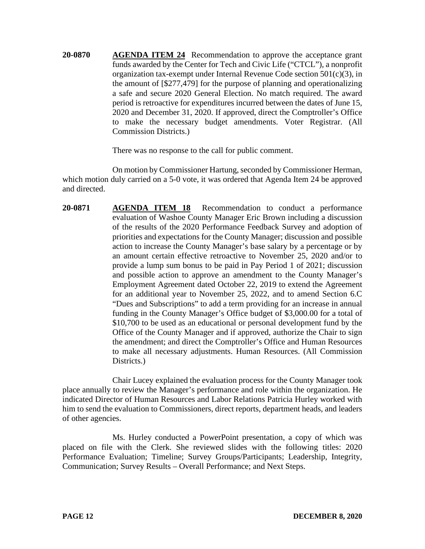**20-0870 AGENDA ITEM 24** Recommendation to approve the acceptance grant funds awarded by the Center for Tech and Civic Life ("CTCL"), a nonprofit organization tax-exempt under Internal Revenue Code section 501(c)(3), in the amount of [\$277,479] for the purpose of planning and operationalizing a safe and secure 2020 General Election. No match required. The award period is retroactive for expenditures incurred between the dates of June 15, 2020 and December 31, 2020. If approved, direct the Comptroller's Office to make the necessary budget amendments. Voter Registrar. (All Commission Districts.)

There was no response to the call for public comment.

On motion by Commissioner Hartung, seconded by Commissioner Herman, which motion duly carried on a 5-0 vote, it was ordered that Agenda Item 24 be approved and directed.

**20-0871 AGENDA ITEM 18** Recommendation to conduct a performance evaluation of Washoe County Manager Eric Brown including a discussion of the results of the 2020 Performance Feedback Survey and adoption of priorities and expectations for the County Manager; discussion and possible action to increase the County Manager's base salary by a percentage or by an amount certain effective retroactive to November 25, 2020 and/or to provide a lump sum bonus to be paid in Pay Period 1 of 2021; discussion and possible action to approve an amendment to the County Manager's Employment Agreement dated October 22, 2019 to extend the Agreement for an additional year to November 25, 2022, and to amend Section 6.C "Dues and Subscriptions" to add a term providing for an increase in annual funding in the County Manager's Office budget of \$3,000.00 for a total of \$10,700 to be used as an educational or personal development fund by the Office of the County Manager and if approved, authorize the Chair to sign the amendment; and direct the Comptroller's Office and Human Resources to make all necessary adjustments. Human Resources. (All Commission Districts.)

Chair Lucey explained the evaluation process for the County Manager took place annually to review the Manager's performance and role within the organization. He indicated Director of Human Resources and Labor Relations Patricia Hurley worked with him to send the evaluation to Commissioners, direct reports, department heads, and leaders of other agencies.

Ms. Hurley conducted a PowerPoint presentation, a copy of which was placed on file with the Clerk. She reviewed slides with the following titles: 2020 Performance Evaluation; Timeline; Survey Groups/Participants; Leadership, Integrity, Communication; Survey Results – Overall Performance; and Next Steps.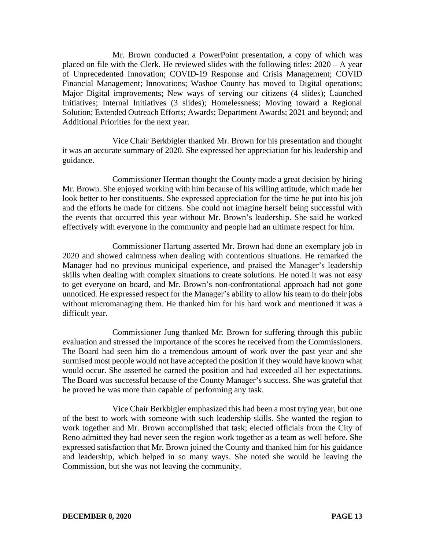Mr. Brown conducted a PowerPoint presentation, a copy of which was placed on file with the Clerk. He reviewed slides with the following titles: 2020 – A year of Unprecedented Innovation; COVID-19 Response and Crisis Management; COVID Financial Management; Innovations; Washoe County has moved to Digital operations; Major Digital improvements; New ways of serving our citizens (4 slides); Launched Initiatives; Internal Initiatives (3 slides); Homelessness; Moving toward a Regional Solution; Extended Outreach Efforts; Awards; Department Awards; 2021 and beyond; and Additional Priorities for the next year.

Vice Chair Berkbigler thanked Mr. Brown for his presentation and thought it was an accurate summary of 2020. She expressed her appreciation for his leadership and guidance.

Commissioner Herman thought the County made a great decision by hiring Mr. Brown. She enjoyed working with him because of his willing attitude, which made her look better to her constituents. She expressed appreciation for the time he put into his job and the efforts he made for citizens. She could not imagine herself being successful with the events that occurred this year without Mr. Brown's leadership. She said he worked effectively with everyone in the community and people had an ultimate respect for him.

Commissioner Hartung asserted Mr. Brown had done an exemplary job in 2020 and showed calmness when dealing with contentious situations. He remarked the Manager had no previous municipal experience, and praised the Manager's leadership skills when dealing with complex situations to create solutions. He noted it was not easy to get everyone on board, and Mr. Brown's non-confrontational approach had not gone unnoticed. He expressed respect for the Manager's ability to allow his team to do their jobs without micromanaging them. He thanked him for his hard work and mentioned it was a difficult year.

Commissioner Jung thanked Mr. Brown for suffering through this public evaluation and stressed the importance of the scores he received from the Commissioners. The Board had seen him do a tremendous amount of work over the past year and she surmised most people would not have accepted the position if they would have known what would occur. She asserted he earned the position and had exceeded all her expectations. The Board was successful because of the County Manager's success. She was grateful that he proved he was more than capable of performing any task.

Vice Chair Berkbigler emphasized this had been a most trying year, but one of the best to work with someone with such leadership skills. She wanted the region to work together and Mr. Brown accomplished that task; elected officials from the City of Reno admitted they had never seen the region work together as a team as well before. She expressed satisfaction that Mr. Brown joined the County and thanked him for his guidance and leadership, which helped in so many ways. She noted she would be leaving the Commission, but she was not leaving the community.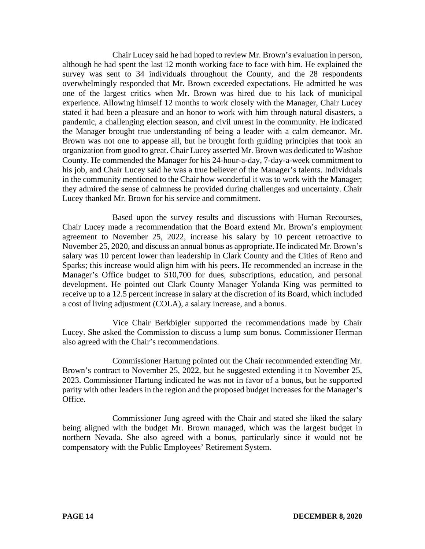Chair Lucey said he had hoped to review Mr. Brown's evaluation in person, although he had spent the last 12 month working face to face with him. He explained the survey was sent to 34 individuals throughout the County, and the 28 respondents overwhelmingly responded that Mr. Brown exceeded expectations. He admitted he was one of the largest critics when Mr. Brown was hired due to his lack of municipal experience. Allowing himself 12 months to work closely with the Manager, Chair Lucey stated it had been a pleasure and an honor to work with him through natural disasters, a pandemic, a challenging election season, and civil unrest in the community. He indicated the Manager brought true understanding of being a leader with a calm demeanor. Mr. Brown was not one to appease all, but he brought forth guiding principles that took an organization from good to great. Chair Lucey asserted Mr. Brown was dedicated to Washoe County. He commended the Manager for his 24-hour-a-day, 7-day-a-week commitment to his job, and Chair Lucey said he was a true believer of the Manager's talents. Individuals in the community mentioned to the Chair how wonderful it was to work with the Manager; they admired the sense of calmness he provided during challenges and uncertainty. Chair Lucey thanked Mr. Brown for his service and commitment.

Based upon the survey results and discussions with Human Recourses, Chair Lucey made a recommendation that the Board extend Mr. Brown's employment agreement to November 25, 2022, increase his salary by 10 percent retroactive to November 25, 2020, and discuss an annual bonus as appropriate. He indicated Mr. Brown's salary was 10 percent lower than leadership in Clark County and the Cities of Reno and Sparks; this increase would align him with his peers. He recommended an increase in the Manager's Office budget to \$10,700 for dues, subscriptions, education, and personal development. He pointed out Clark County Manager Yolanda King was permitted to receive up to a 12.5 percent increase in salary at the discretion of its Board, which included a cost of living adjustment (COLA), a salary increase, and a bonus.

Vice Chair Berkbigler supported the recommendations made by Chair Lucey. She asked the Commission to discuss a lump sum bonus. Commissioner Herman also agreed with the Chair's recommendations.

Commissioner Hartung pointed out the Chair recommended extending Mr. Brown's contract to November 25, 2022, but he suggested extending it to November 25, 2023. Commissioner Hartung indicated he was not in favor of a bonus, but he supported parity with other leaders in the region and the proposed budget increases for the Manager's Office.

Commissioner Jung agreed with the Chair and stated she liked the salary being aligned with the budget Mr. Brown managed, which was the largest budget in northern Nevada. She also agreed with a bonus, particularly since it would not be compensatory with the Public Employees' Retirement System.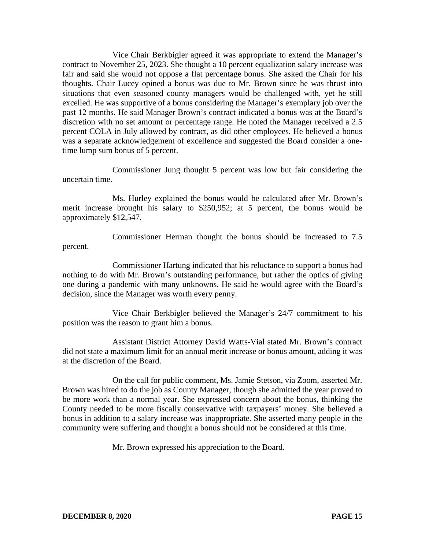Vice Chair Berkbigler agreed it was appropriate to extend the Manager's contract to November 25, 2023. She thought a 10 percent equalization salary increase was fair and said she would not oppose a flat percentage bonus. She asked the Chair for his thoughts. Chair Lucey opined a bonus was due to Mr. Brown since he was thrust into situations that even seasoned county managers would be challenged with, yet he still excelled. He was supportive of a bonus considering the Manager's exemplary job over the past 12 months. He said Manager Brown's contract indicated a bonus was at the Board's discretion with no set amount or percentage range. He noted the Manager received a 2.5 percent COLA in July allowed by contract, as did other employees. He believed a bonus was a separate acknowledgement of excellence and suggested the Board consider a onetime lump sum bonus of 5 percent.

Commissioner Jung thought 5 percent was low but fair considering the uncertain time.

Ms. Hurley explained the bonus would be calculated after Mr. Brown's merit increase brought his salary to \$250,952; at 5 percent, the bonus would be approximately \$12,547.

Commissioner Herman thought the bonus should be increased to 7.5 percent.

Commissioner Hartung indicated that his reluctance to support a bonus had nothing to do with Mr. Brown's outstanding performance, but rather the optics of giving one during a pandemic with many unknowns. He said he would agree with the Board's decision, since the Manager was worth every penny.

Vice Chair Berkbigler believed the Manager's 24/7 commitment to his position was the reason to grant him a bonus.

Assistant District Attorney David Watts-Vial stated Mr. Brown's contract did not state a maximum limit for an annual merit increase or bonus amount, adding it was at the discretion of the Board.

On the call for public comment, Ms. Jamie Stetson, via Zoom, asserted Mr. Brown was hired to do the job as County Manager, though she admitted the year proved to be more work than a normal year. She expressed concern about the bonus, thinking the County needed to be more fiscally conservative with taxpayers' money. She believed a bonus in addition to a salary increase was inappropriate. She asserted many people in the community were suffering and thought a bonus should not be considered at this time.

Mr. Brown expressed his appreciation to the Board.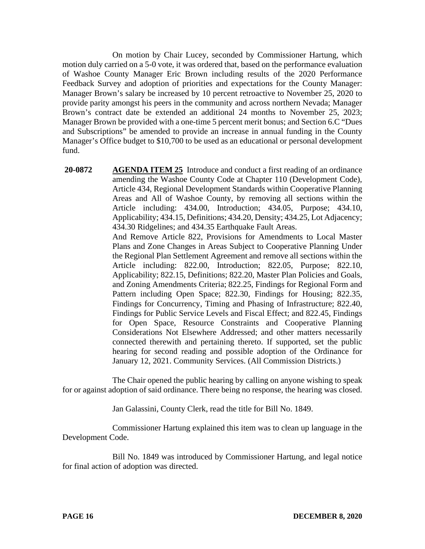On motion by Chair Lucey, seconded by Commissioner Hartung, which motion duly carried on a 5-0 vote, it was ordered that, based on the performance evaluation of Washoe County Manager Eric Brown including results of the 2020 Performance Feedback Survey and adoption of priorities and expectations for the County Manager: Manager Brown's salary be increased by 10 percent retroactive to November 25, 2020 to provide parity amongst his peers in the community and across northern Nevada; Manager Brown's contract date be extended an additional 24 months to November 25, 2023; Manager Brown be provided with a one-time 5 percent merit bonus; and Section 6.C "Dues and Subscriptions" be amended to provide an increase in annual funding in the County Manager's Office budget to \$10,700 to be used as an educational or personal development fund.

**20-0872 AGENDA ITEM 25** Introduce and conduct a first reading of an ordinance amending the Washoe County Code at Chapter 110 (Development Code), Article 434, Regional Development Standards within Cooperative Planning Areas and All of Washoe County, by removing all sections within the Article including: 434.00, Introduction; 434.05, Purpose; 434.10, Applicability; 434.15, Definitions; 434.20, Density; 434.25, Lot Adjacency; 434.30 Ridgelines; and 434.35 Earthquake Fault Areas. And Remove Article 822, Provisions for Amendments to Local Master Plans and Zone Changes in Areas Subject to Cooperative Planning Under the Regional Plan Settlement Agreement and remove all sections within the Article including: 822.00, Introduction; 822.05, Purpose; 822.10, Applicability; 822.15, Definitions; 822.20, Master Plan Policies and Goals, and Zoning Amendments Criteria; 822.25, Findings for Regional Form and Pattern including Open Space; 822.30, Findings for Housing; 822.35, Findings for Concurrency, Timing and Phasing of Infrastructure; 822.40, Findings for Public Service Levels and Fiscal Effect; and 822.45, Findings for Open Space, Resource Constraints and Cooperative Planning Considerations Not Elsewhere Addressed; and other matters necessarily connected therewith and pertaining thereto. If supported, set the public hearing for second reading and possible adoption of the Ordinance for January 12, 2021. Community Services. (All Commission Districts.)

The Chair opened the public hearing by calling on anyone wishing to speak for or against adoption of said ordinance. There being no response, the hearing was closed.

Jan Galassini, County Clerk, read the title for Bill No. 1849.

Commissioner Hartung explained this item was to clean up language in the Development Code.

Bill No. 1849 was introduced by Commissioner Hartung, and legal notice for final action of adoption was directed.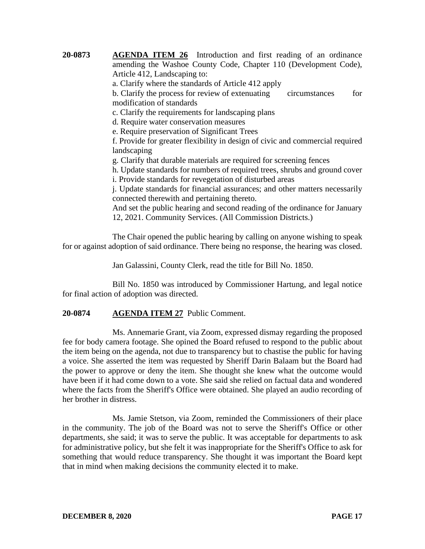**20-0873 AGENDA ITEM 26** Introduction and first reading of an ordinance amending the Washoe County Code, Chapter 110 (Development Code), Article 412, Landscaping to: a. Clarify where the standards of Article 412 apply b. Clarify the process for review of extenuating circumstances for modification of standards c. Clarify the requirements for landscaping plans d. Require water conservation measures e. Require preservation of Significant Trees f. Provide for greater flexibility in design of civic and commercial required landscaping g. Clarify that durable materials are required for screening fences h. Update standards for numbers of required trees, shrubs and ground cover i. Provide standards for revegetation of disturbed areas j. Update standards for financial assurances; and other matters necessarily connected therewith and pertaining thereto. And set the public hearing and second reading of the ordinance for January 12, 2021. Community Services. (All Commission Districts.)

The Chair opened the public hearing by calling on anyone wishing to speak for or against adoption of said ordinance. There being no response, the hearing was closed.

Jan Galassini, County Clerk, read the title for Bill No. 1850.

Bill No. 1850 was introduced by Commissioner Hartung, and legal notice for final action of adoption was directed.

### **20-0874 AGENDA ITEM 27** Public Comment.

Ms. Annemarie Grant, via Zoom, expressed dismay regarding the proposed fee for body camera footage. She opined the Board refused to respond to the public about the item being on the agenda, not due to transparency but to chastise the public for having a voice. She asserted the item was requested by Sheriff Darin Balaam but the Board had the power to approve or deny the item. She thought she knew what the outcome would have been if it had come down to a vote. She said she relied on factual data and wondered where the facts from the Sheriff's Office were obtained. She played an audio recording of her brother in distress.

Ms. Jamie Stetson, via Zoom, reminded the Commissioners of their place in the community. The job of the Board was not to serve the Sheriff's Office or other departments, she said; it was to serve the public. It was acceptable for departments to ask for administrative policy, but she felt it was inappropriate for the Sheriff's Office to ask for something that would reduce transparency. She thought it was important the Board kept that in mind when making decisions the community elected it to make.